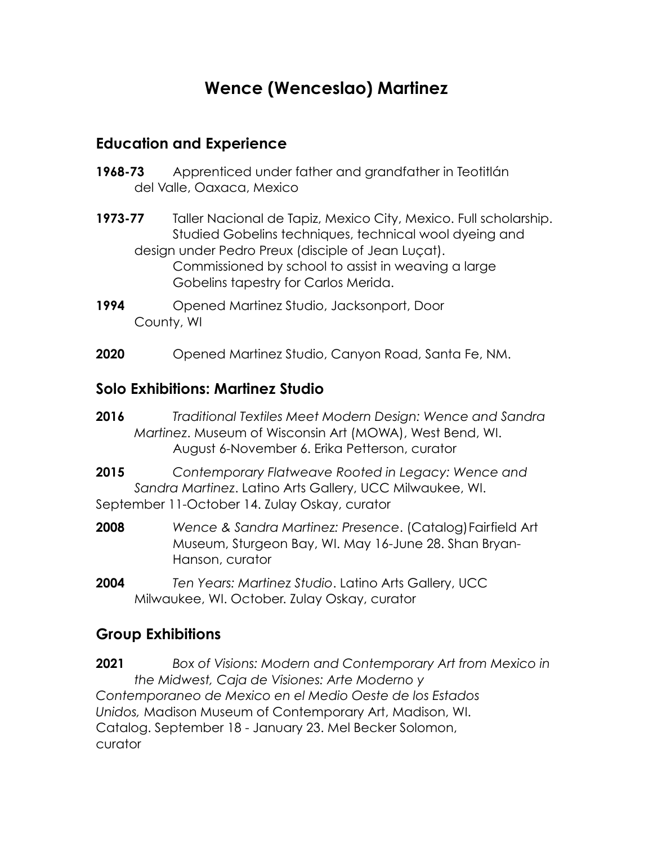# **Wence (Wenceslao) Martinez**

#### **Education and Experience**

- **1968-73** Apprenticed under father and grandfather in Teotitlán del Valle, Oaxaca, Mexico
- **1973-77** Taller Nacional de Tapiz, Mexico City, Mexico. Full scholarship. Studied Gobelins techniques, technical wool dyeing and design under Pedro Preux (disciple of Jean Luçat). Commissioned by school to assist in weaving a large Gobelins tapestry for Carlos Merida.
- **1994** Opened Martinez Studio, Jacksonport, Door County, WI
- **2020** Opened Martinez Studio, Canyon Road, Santa Fe, NM.

#### **Solo Exhibitions: Martinez Studio**

- **2016** *Traditional Textiles Meet Modern Design: Wence and Sandra Martinez*. Museum of Wisconsin Art (MOWA), West Bend, WI. August 6-November 6. Erika Petterson, curator
- **2015** *Contemporary Flatweave Rooted in Legacy: Wence and Sandra Martinez*. Latino Arts Gallery, UCC Milwaukee, WI. September 11-October 14. Zulay Oskay, curator
- **2008** *Wence & Sandra Martinez: Presence*. (Catalog)Fairfield Art Museum, Sturgeon Bay, WI. May 16-June 28. Shan Bryan-Hanson, curator
- **2004** *Ten Years: Martinez Studio*. Latino Arts Gallery, UCC Milwaukee, WI. October. Zulay Oskay, curator

#### **Group Exhibitions**

**2021** *Box of Visions: Modern and Contemporary Art from Mexico in the Midwest, Caja de Visiones: Arte Moderno y Contemporaneo de Mexico en el Medio Oeste de los Estados Unidos,* Madison Museum of Contemporary Art, Madison, WI. Catalog. September 18 - January 23. Mel Becker Solomon, curator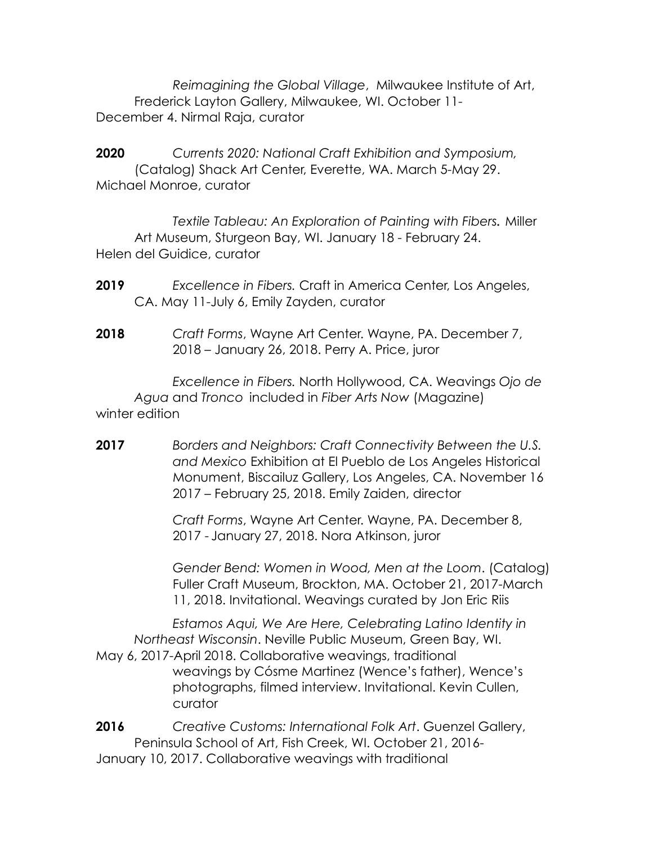*Reimagining the Global Village*, Milwaukee Institute of Art, Frederick Layton Gallery, Milwaukee, WI. October 11- December 4. Nirmal Raja, curator

**2020** *Currents 2020: National Craft Exhibition and Symposium,*  (Catalog) Shack Art Center, Everette, WA. March 5-May 29. Michael Monroe, curator

*Textile Tableau: An Exploration of Painting with Fibers.* Miller Art Museum, Sturgeon Bay, WI. January 18 - February 24. Helen del Guidice, curator

- **2019** *Excellence in Fibers.* Craft in America Center, Los Angeles, CA. May 11-July 6, Emily Zayden, curator
- **2018** *Craft Forms*, Wayne Art Center. Wayne, PA. December 7, 2018 – January 26, 2018. Perry A. Price, juror

*Excellence in Fibers.* North Hollywood, CA. Weavings *Ojo de Agua* and *Tronco* included in *Fiber Arts Now* (Magazine) winter edition

**2017** *Borders and Neighbors: Craft Connectivity Between the U.S. and Mexico* Exhibition at El Pueblo de Los Angeles Historical Monument, Biscailuz Gallery, Los Angeles, CA. November 16 2017 – February 25, 2018. Emily Zaiden, director

> *Craft Forms*, Wayne Art Center. Wayne, PA. December 8, 2017 - January 27, 2018. Nora Atkinson, juror

*Gender Bend: Women in Wood, Men at the Loom*. (Catalog) Fuller Craft Museum, Brockton, MA. October 21, 2017-March 11, 2018. Invitational. Weavings curated by Jon Eric Riis

*Estamos Aqui, We Are Here, Celebrating Latino Identity in Northeast Wisconsin*. Neville Public Museum, Green Bay, WI. May 6, 2017-April 2018. Collaborative weavings, traditional weavings by Cósme Martinez (Wence's father), Wence's photographs, filmed interview. Invitational. Kevin Cullen, curator

**2016** *Creative Customs: International Folk Art*. Guenzel Gallery, Peninsula School of Art, Fish Creek, WI. October 21, 2016- January 10, 2017. Collaborative weavings with traditional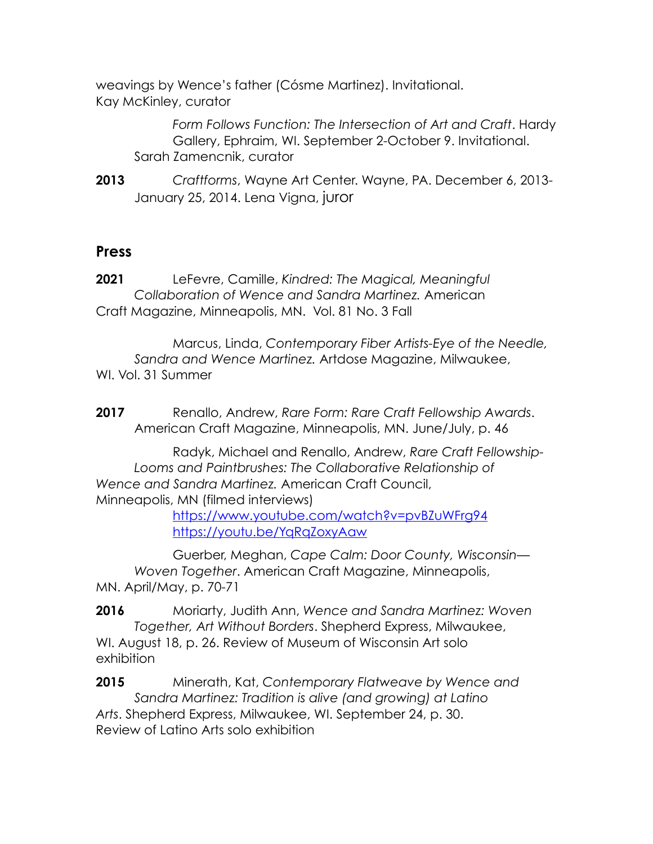weavings by Wence's father (Cósme Martinez). Invitational. Kay McKinley, curator

> *Form Follows Function: The Intersection of Art and Craft*. Hardy Gallery, Ephraim, WI. September 2-October 9. Invitational. Sarah Zamencnik, curator

**2013** *Craftforms*, Wayne Art Center. Wayne, PA. December 6, 2013- January 25, 2014. Lena Vigna, juror

#### **Press**

**2021** LeFevre, Camille, *Kindred: The Magical, Meaningful Collaboration of Wence and Sandra Martinez.* American Craft Magazine, Minneapolis, MN. Vol. 81 No. 3 Fall

Marcus, Linda, *Contemporary Fiber Artists-Eye of the Needle, Sandra and Wence Martinez.* Artdose Magazine, Milwaukee, WI. Vol. 31 Summer

**2017** Renallo, Andrew, *Rare Form: Rare Craft Fellowship Awards*. American Craft Magazine, Minneapolis, MN. June/July, p. 46

Radyk, Michael and Renallo, Andrew, *Rare Craft Fellowship-Looms and Paintbrushes: The Collaborative Relationship of Wence and Sandra Martinez.* American Craft Council, Minneapolis, MN (filmed interviews)

> <https://www.youtube.com/watch?v=pvBZuWFrg94> <https://youtu.be/YqRqZoxyAaw>

Guerber, Meghan, *Cape Calm: Door County, Wisconsin— Woven Together*. American Craft Magazine, Minneapolis, MN. April/May, p. 70-71

**2016** Moriarty, Judith Ann, *Wence and Sandra Martinez: Woven Together, Art Without Borders*. Shepherd Express, Milwaukee, WI. August 18, p. 26. Review of Museum of Wisconsin Art solo exhibition

**2015** Minerath, Kat, *Contemporary Flatweave by Wence and Sandra Martinez: Tradition is alive (and growing) at Latino Arts*. Shepherd Express, Milwaukee, WI. September 24, p. 30. Review of Latino Arts solo exhibition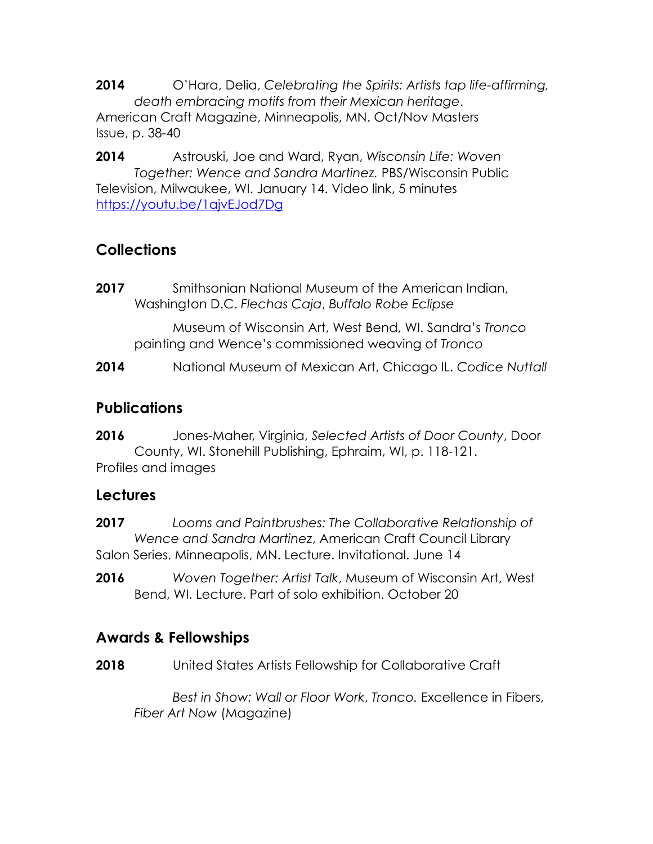**2014** O'Hara, Delia, *Celebrating the Spirits: Artists tap life-affirming, death embracing motifs from their Mexican heritage*. American Craft Magazine, Minneapolis, MN. Oct/Nov Masters Issue, p. 38-40

**2014** Astrouski, Joe and Ward, Ryan, *Wisconsin Life: Woven Together: Wence and Sandra Martinez.* PBS/Wisconsin Public Television, Milwaukee, WI. January 14. Video link, 5 minutes <https://youtu.be/1ajvEJod7Dg>

## **Collections**

**2017** Smithsonian National Museum of the American Indian, Washington D.C. *Flechas Caja*, *Buffalo Robe Eclipse*

Museum of Wisconsin Art, West Bend, WI. Sandra's *Tronco* painting and Wence's commissioned weaving of *Tronco*

**2014** National Museum of Mexican Art, Chicago IL. *Codice Nuttall*

## **Publications**

**2016** Jones-Maher, Virginia, *Selected Artists of Door County*, Door County, WI. Stonehill Publishing, Ephraim, WI, p. 118-121. Profiles and images

### **Lectures**

**2017** *Looms and Paintbrushes: The Collaborative Relationship of Wence and Sandra Martinez*, American Craft Council Library Salon Series. Minneapolis, MN. Lecture. Invitational. June 14

**2016** *Woven Together: Artist Talk*, Museum of Wisconsin Art, West Bend, WI. Lecture. Part of solo exhibition. October 20

## **Awards & Fellowships**

**2018** United States Artists Fellowship for Collaborative Craft

*Best in Show: Wall or Floor Work*, *Tronco.* Excellence in Fibers, *Fiber Art Now* (Magazine)